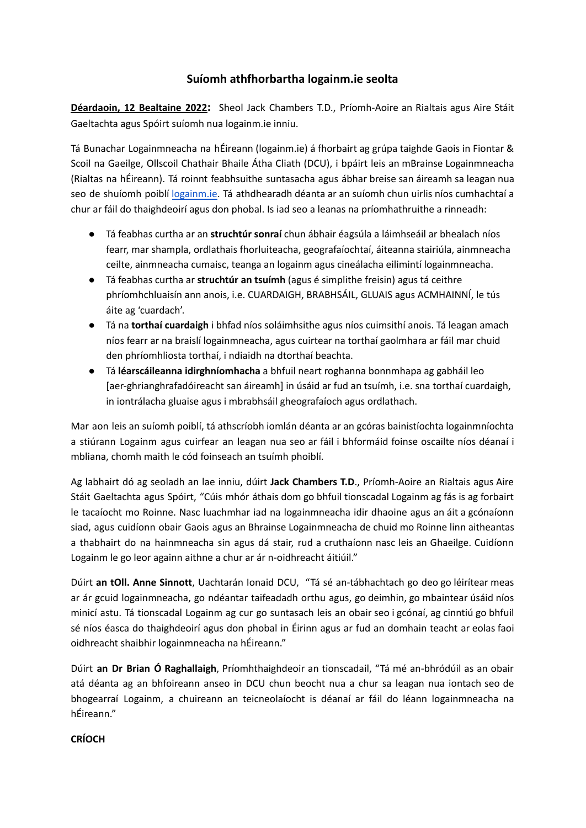## **Suíomh athfhorbartha logainm.ie seolta**

**Déardaoin, 12 Bealtaine 2022:** Sheol Jack Chambers T.D., Príomh-Aoire an Rialtais agus Aire Stáit Gaeltachta agus Spóirt suíomh nua logainm.ie inniu.

Tá Bunachar Logainmneacha na hÉireann (logainm.ie) á fhorbairt ag grúpa taighde Gaois in Fiontar & Scoil na Gaeilge, Ollscoil Chathair Bhaile Átha Cliath (DCU), i bpáirt leis an mBrainse Logainmneacha (Rialtas na hÉireann). Tá roinnt feabhsuithe suntasacha agus ábhar breise san áireamh sa leagan nua seo de shuíomh poiblí [logainm.ie](https://www.logainm.ie/ga). Tá athdhearadh déanta ar an suíomh chun uirlis níos cumhachtaí a chur ar fáil do thaighdeoirí agus don phobal. Is iad seo a leanas na príomhathruithe a rinneadh:

- Tá feabhas curtha ar an **struchtúr sonraí** chun ábhair éagsúla a láimhseáil ar bhealach níos fearr, mar shampla, ordlathais fhorluiteacha, geografaíochtaí, áiteanna stairiúla, ainmneacha ceilte, ainmneacha cumaisc, teanga an logainm agus cineálacha eilimintí logainmneacha.
- Tá feabhas curtha ar **struchtúr an tsuímh** (agus é simplithe freisin) agus tá ceithre phríomhchluaisín ann anois, i.e. CUARDAIGH, BRABHSÁIL, GLUAIS agus ACMHAINNÍ, le tús áite ag 'cuardach'.
- Tá na **torthaí cuardaigh** i bhfad níos soláimhsithe agus níos cuimsithí anois. Tá leagan amach níos fearr ar na braislí logainmneacha, agus cuirtear na torthaí gaolmhara ar fáil mar chuid den phríomhliosta torthaí, i ndiaidh na dtorthaí beachta.
- Tá **léarscáileanna idirghníomhacha** a bhfuil neart roghanna bonnmhapa ag gabháil leo [aer-ghrianghrafadóireacht san áireamh] in úsáid ar fud an tsuímh, i.e. sna torthaí cuardaigh, in iontrálacha gluaise agus i mbrabhsáil gheografaíoch agus ordlathach.

Mar aon leis an suíomh poiblí, tá athscríobh iomlán déanta ar an gcóras bainistíochta logainmníochta a stiúrann Logainm agus cuirfear an leagan nua seo ar fáil i bhformáid foinse oscailte níos déanaí i mbliana, chomh maith le cód foinseach an tsuímh phoiblí.

Ag labhairt dó ag seoladh an lae inniu, dúirt **Jack Chambers T.D**., Príomh-Aoire an Rialtais agus Aire Stáit Gaeltachta agus Spóirt, "Cúis mhór áthais dom go bhfuil tionscadal Logainm ag fás is ag forbairt le tacaíocht mo Roinne. Nasc luachmhar iad na logainmneacha idir dhaoine agus an áit a gcónaíonn siad, agus cuidíonn obair Gaois agus an Bhrainse Logainmneacha de chuid mo Roinne linn aitheantas a thabhairt do na hainmneacha sin agus dá stair, rud a cruthaíonn nasc leis an Ghaeilge. Cuidíonn Logainm le go leor againn aithne a chur ar ár n-oidhreacht áitiúil."

Dúirt **an tOll. Anne Sinnott**, Uachtarán Ionaid DCU, "Tá sé an-tábhachtach go deo go léirítear meas ar ár gcuid logainmneacha, go ndéantar taifeadadh orthu agus, go deimhin, go mbaintear úsáid níos minicí astu. Tá tionscadal Logainm ag cur go suntasach leis an obair seo i gcónaí, ag cinntiú go bhfuil sé níos éasca do thaighdeoirí agus don phobal in Éirinn agus ar fud an domhain teacht ar eolas faoi oidhreacht shaibhir logainmneacha na hÉireann."

Dúirt **an Dr Brian Ó Raghallaigh**, Príomhthaighdeoir an tionscadail, "Tá mé an-bhródúil as an obair atá déanta ag an bhfoireann anseo in DCU chun beocht nua a chur sa leagan nua iontach seo de bhogearraí Logainm, a chuireann an teicneolaíocht is déanaí ar fáil do léann logainmneacha na hÉireann."

## **CRÍOCH**